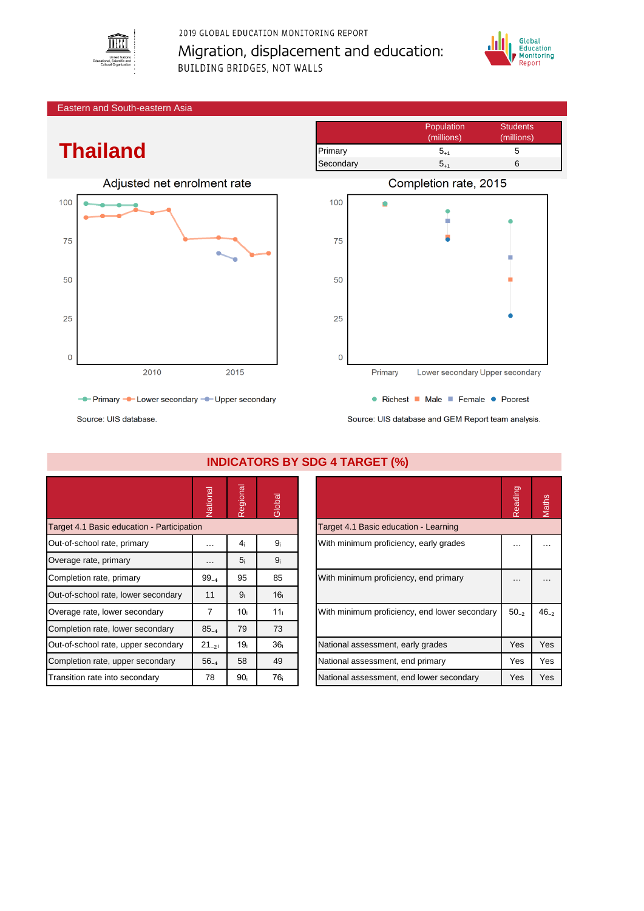

2019 GLOBAL EDUCATION MONITORING REPORT Migration, displacement and education: **BUILDING BRIDGES, NOT WALLS** 



Eastern and South-eastern Asia

## **Thailand**



- Primary - Lower secondary - Upper secondary





• Richest • Male • Female • Poorest Source: UIS database and GEM Report team analysis.

Source: UIS database.

|                                            | Vational   | Regional        | Global          |                                               | Reading   | <b>Maths</b> |
|--------------------------------------------|------------|-----------------|-----------------|-----------------------------------------------|-----------|--------------|
| Target 4.1 Basic education - Participation |            |                 |                 | Target 4.1 Basic education - Learning         |           |              |
| Out-of-school rate, primary                | $\cdots$   | 4 <sub>i</sub>  | 9 <sub>i</sub>  | With minimum proficiency, early grades        | .         | $\cdots$     |
| Overage rate, primary                      | $\cdots$   | 5 <sub>i</sub>  | 9 <sub>i</sub>  |                                               |           |              |
| Completion rate, primary                   | $99_{-4}$  | 95              | 85              | With minimum proficiency, end primary         | $\cdots$  | $\cdots$     |
| Out-of-school rate, lower secondary        | 11         | 9 <sub>i</sub>  | 16 <sub>i</sub> |                                               |           |              |
| Overage rate, lower secondary              | 7          | 10i             | 11 <sub>i</sub> | With minimum proficiency, end lower secondary | $50_{-2}$ | $46_{-2}$    |
| Completion rate, lower secondary           | $85_{-4}$  | 79              | 73              |                                               |           |              |
| Out-of-school rate, upper secondary        | $21_{-21}$ | 19 <sub>i</sub> | 36 <sub>i</sub> | National assessment, early grades             | Yes       | Yes          |
| Completion rate, upper secondary           | $56_{-4}$  | 58              | 49              | National assessment, end primary              | Yes       | Yes          |
| Transition rate into secondary             | 78         | 90 <sub>i</sub> | 76 <sub>i</sub> | National assessment, end lower secondary      | Yes       | Yes          |

## **INDICATORS BY SDG 4 TARGET (%)**

|                                               | Reading   | <b>Jaths</b> |
|-----------------------------------------------|-----------|--------------|
| Target 4.1 Basic education - Learning         |           |              |
| With minimum proficiency, early grades        |           |              |
| With minimum proficiency, end primary         |           |              |
| With minimum proficiency, end lower secondary | $50_{-2}$ | $46_{-2}$    |
| National assessment, early grades             | Yes       | Yes          |
| National assessment, end primary              | Yes       | Yes          |
| National assessment, end lower secondary      | Yes       | Yes          |
|                                               |           |              |